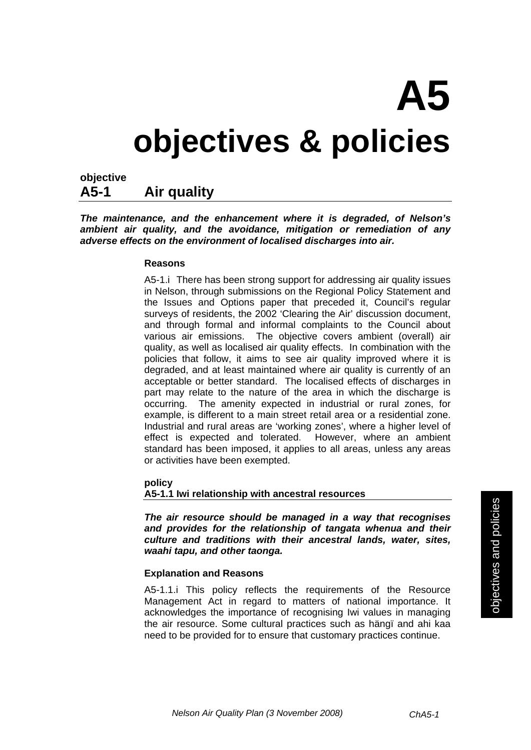# **A5 objectives & policies**

## **objective A5-1 Air quality**

*The maintenance, and the enhancement where it is degraded, of Nelson's ambient air quality, and the avoidance, mitigation or remediation of any adverse effects on the environment of localised discharges into air.* 

#### **Reasons**

A5-1.i There has been strong support for addressing air quality issues in Nelson, through submissions on the Regional Policy Statement and the Issues and Options paper that preceded it, Council's regular surveys of residents, the 2002 'Clearing the Air' discussion document, and through formal and informal complaints to the Council about various air emissions. The objective covers ambient (overall) air quality, as well as localised air quality effects. In combination with the policies that follow, it aims to see air quality improved where it is degraded, and at least maintained where air quality is currently of an acceptable or better standard. The localised effects of discharges in part may relate to the nature of the area in which the discharge is occurring. The amenity expected in industrial or rural zones, for example, is different to a main street retail area or a residential zone. Industrial and rural areas are 'working zones', where a higher level of effect is expected and tolerated. However, where an ambient standard has been imposed, it applies to all areas, unless any areas or activities have been exempted.

 **policy** 

**A5-1.1 Iwi relationship with ancestral resources** 

*The air resource should be managed in a way that recognises and provides for the relationship of tangata whenua and their culture and traditions with their ancestral lands, water, sites, waahi tapu, and other taonga.* 

#### **Explanation and Reasons**

A5-1.1.i This policy reflects the requirements of the Resource Management Act in regard to matters of national importance. It acknowledges the importance of recognising Iwi values in managing the air resource. Some cultural practices such as hängï and ahi kaa need to be provided for to ensure that customary practices continue.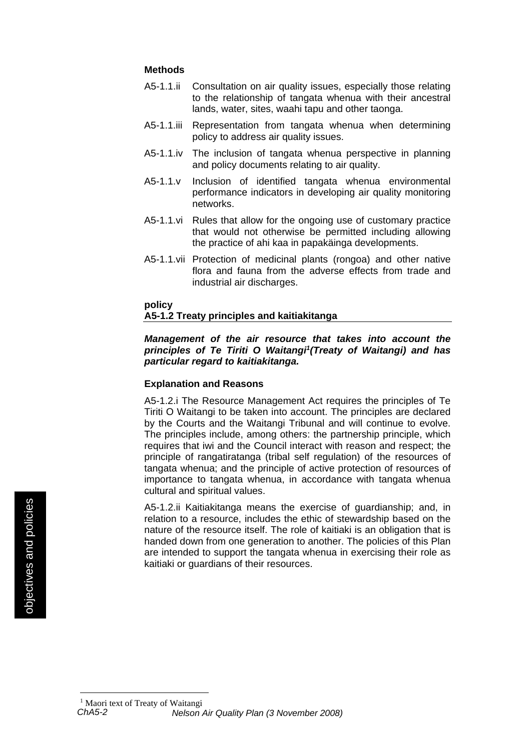#### **Methods**

- A5-1.1.ii Consultation on air quality issues, especially those relating to the relationship of tangata whenua with their ancestral lands, water, sites, waahi tapu and other taonga.
- A5-1.1.iii Representation from tangata whenua when determining policy to address air quality issues.
- A5-1.1.iv The inclusion of tangata whenua perspective in planning and policy documents relating to air quality.
- A5-1.1.v Inclusion of identified tangata whenua environmental performance indicators in developing air quality monitoring networks.
- A5-1.1.vi Rules that allow for the ongoing use of customary practice that would not otherwise be permitted including allowing the practice of ahi kaa in papakäinga developments.
- A5-1.1.vii Protection of medicinal plants (rongoa) and other native flora and fauna from the adverse effects from trade and industrial air discharges.

#### **policy**

#### **A5-1.2 Treaty principles and kaitiakitanga**

#### *Management of the air resource that takes into account the*  principles of Te Tiriti O Waitangi<sup>1</sup> (Treaty of Waitangi) and has *particular regard to kaitiakitanga.*

#### **Explanation and Reasons**

A5-1.2.i The Resource Management Act requires the principles of Te Tiriti O Waitangi to be taken into account. The principles are declared by the Courts and the Waitangi Tribunal and will continue to evolve. The principles include, among others: the partnership principle, which requires that iwi and the Council interact with reason and respect; the principle of rangatiratanga (tribal self regulation) of the resources of tangata whenua; and the principle of active protection of resources of importance to tangata whenua, in accordance with tangata whenua cultural and spiritual values.

A5-1.2.ii Kaitiakitanga means the exercise of guardianship; and, in relation to a resource, includes the ethic of stewardship based on the nature of the resource itself. The role of kaitiaki is an obligation that is handed down from one generation to another. The policies of this Plan are intended to support the tangata whenua in exercising their role as kaitiaki or guardians of their resources.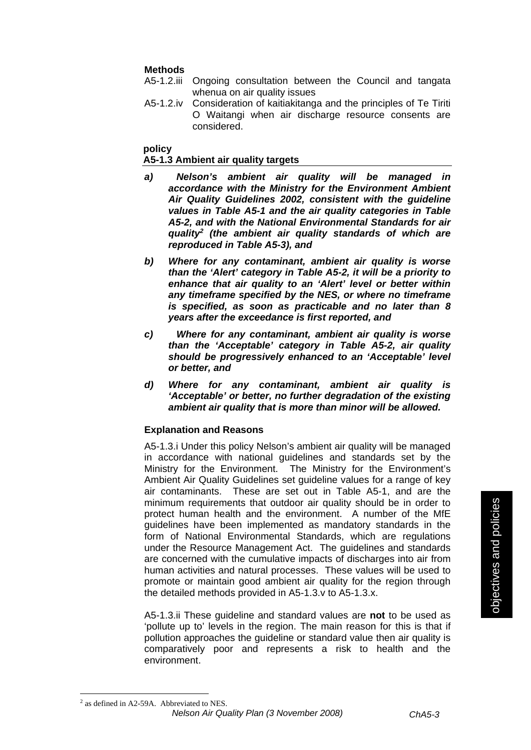#### **Methods**

- A5-1.2.iii Ongoing consultation between the Council and tangata whenua on air quality issues
- A5-1.2.iv Consideration of kaitiakitanga and the principles of Te Tiriti O Waitangi when air discharge resource consents are considered.

#### **policy**

#### **A5-1.3 Ambient air quality targets**

- *a) Nelson's ambient air quality will be managed in accordance with the Ministry for the Environment Ambient Air Quality Guidelines 2002, consistent with the guideline values in Table A5-1 and the air quality categories in Table A5-2, and with the National Environmental Standards for air quality2 (the ambient air quality standards of which are reproduced in Table A5-3), and*
- *b) Where for any contaminant, ambient air quality is worse than the 'Alert' category in Table A5-2, it will be a priority to enhance that air quality to an 'Alert' level or better within any timeframe specified by the NES, or where no timeframe is specified, as soon as practicable and no later than 8 years after the exceedance is first reported, and*
- *c) Where for any contaminant, ambient air quality is worse than the 'Acceptable' category in Table A5-2, air quality should be progressively enhanced to an 'Acceptable' level or better, and*
- *d) Where for any contaminant, ambient air quality is 'Acceptable' or better, no further degradation of the existing ambient air quality that is more than minor will be allowed.*

#### **Explanation and Reasons**

A5-1.3.i Under this policy Nelson's ambient air quality will be managed in accordance with national guidelines and standards set by the Ministry for the Environment. The Ministry for the Environment's Ambient Air Quality Guidelines set guideline values for a range of key air contaminants. These are set out in Table A5-1, and are the minimum requirements that outdoor air quality should be in order to protect human health and the environment. A number of the MfE guidelines have been implemented as mandatory standards in the form of National Environmental Standards, which are regulations under the Resource Management Act. The guidelines and standards are concerned with the cumulative impacts of discharges into air from human activities and natural processes. These values will be used to promote or maintain good ambient air quality for the region through the detailed methods provided in A5-1.3.v to A5-1.3.x.

A5-1.3.ii These guideline and standard values are **not** to be used as 'pollute up to' levels in the region. The main reason for this is that if pollution approaches the guideline or standard value then air quality is comparatively poor and represents a risk to health and the environment.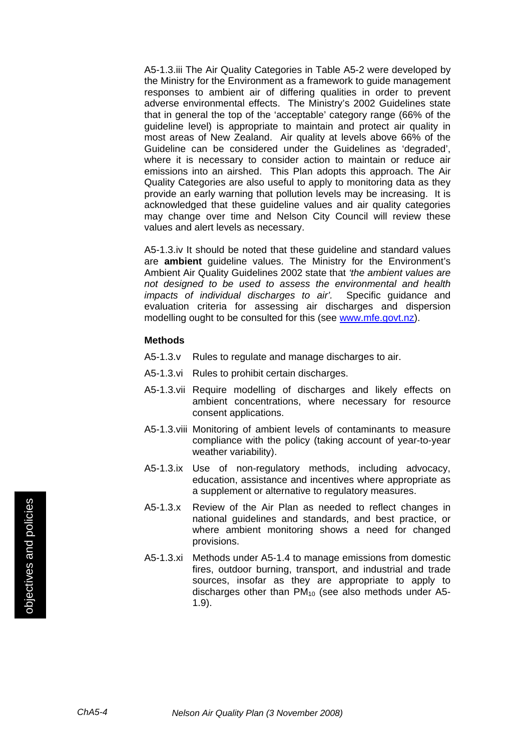A5-1.3.iii The Air Quality Categories in Table A5-2 were developed by the Ministry for the Environment as a framework to guide management responses to ambient air of differing qualities in order to prevent adverse environmental effects. The Ministry's 2002 Guidelines state that in general the top of the 'acceptable' category range (66% of the guideline level) is appropriate to maintain and protect air quality in most areas of New Zealand. Air quality at levels above 66% of the Guideline can be considered under the Guidelines as 'degraded', where it is necessary to consider action to maintain or reduce air emissions into an airshed. This Plan adopts this approach. The Air Quality Categories are also useful to apply to monitoring data as they provide an early warning that pollution levels may be increasing. It is acknowledged that these guideline values and air quality categories may change over time and Nelson City Council will review these values and alert levels as necessary.

A5-1.3.iv It should be noted that these guideline and standard values are **ambient** guideline values. The Ministry for the Environment's Ambient Air Quality Guidelines 2002 state that *'the ambient values are not designed to be used to assess the environmental and health impacts of individual discharges to air'.* Specific guidance and evaluation criteria for assessing air discharges and dispersion modelling ought to be consulted for this (see www.mfe.govt.nz).

- A5-1.3.v Rules to regulate and manage discharges to air.
- A5-1.3.vi Rules to prohibit certain discharges.
- A5-1.3.vii Require modelling of discharges and likely effects on ambient concentrations, where necessary for resource consent applications.
- A5-1.3.viii Monitoring of ambient levels of contaminants to measure compliance with the policy (taking account of year-to-year weather variability).
- A5-1.3.ix Use of non-regulatory methods, including advocacy, education, assistance and incentives where appropriate as a supplement or alternative to regulatory measures.
- A5-1.3.x Review of the Air Plan as needed to reflect changes in national guidelines and standards, and best practice, or where ambient monitoring shows a need for changed provisions.
- A5-1.3.xi Methods under A5-1.4 to manage emissions from domestic fires, outdoor burning, transport, and industrial and trade sources, insofar as they are appropriate to apply to discharges other than  $PM_{10}$  (see also methods under A5-1.9).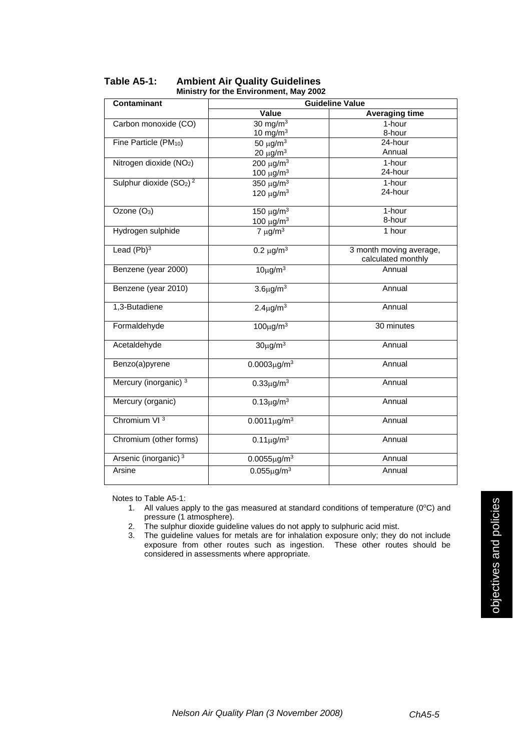| <b>Contaminant</b>                  | <b>Guideline Value</b>     |                                               |
|-------------------------------------|----------------------------|-----------------------------------------------|
|                                     | Value                      | <b>Averaging time</b>                         |
| Carbon monoxide (CO)                | $30 \text{ mg/m}^3$        | 1-hour                                        |
|                                     | $10$ mg/m <sup>3</sup>     | 8-hour                                        |
| Fine Particle (PM <sub>10</sub> )   | 50 $\mu$ g/m <sup>3</sup>  | 24-hour                                       |
|                                     | $20 \mu g/m^3$             | Annual                                        |
| Nitrogen dioxide (NO <sub>2</sub> ) | $200 \mu g/m3$             | 1-hour                                        |
|                                     | 100 $\mu$ g/m <sup>3</sup> | 24-hour                                       |
| Sulphur dioxide $(SO2)2$            | 350 $\mu$ g/m <sup>3</sup> | 1-hour                                        |
|                                     | 120 $\mu$ g/m <sup>3</sup> | 24-hour                                       |
| Ozone (O <sub>3</sub> )             | 150 $\mu$ g/m <sup>3</sup> | 1-hour                                        |
|                                     | 100 $μg/m3$                | 8-hour                                        |
| Hydrogen sulphide                   | $7 \mu g/m^3$              | 1 hour                                        |
| Lead $(Pb)^3$                       | $0.2 \mu g/m^3$            | 3 month moving average,<br>calculated monthly |
| Benzene (year 2000)                 | $10\mu g/m^3$              | Annual                                        |
| Benzene (year 2010)                 | $3.6\mu$ g/m $3$           | Annual                                        |
| 1,3-Butadiene                       | $2.4 \mu$ g/m <sup>3</sup> | Annual                                        |
| Formaldehyde                        | $100\mu g/m^3$             | 30 minutes                                    |
| Acetaldehyde                        | $30\mu$ g/m $3$            | Annual                                        |
| Benzo(a)pyrene                      | $0.0003 \mu g/m^3$         | Annual                                        |
| Mercury (inorganic) <sup>3</sup>    | $0.33\mu$ g/m <sup>3</sup> | Annual                                        |
| Mercury (organic)                   | $0.13 \mu g/m^3$           | Annual                                        |
| Chromium VI <sup>3</sup>            | $0.0011 \mu g/m^3$         | Annual                                        |
| Chromium (other forms)              | $0.11 \mu g/m^3$           | Annual                                        |
| Arsenic (inorganic) <sup>3</sup>    | $0.0055 \mu g/m^3$         | Annual                                        |
| Arsine                              | $0.055 \mu g/m^3$          | Annual                                        |

#### **Table A5-1: Ambient Air Quality Guidelines Ministry for the Environment, May 2002**

Notes to Table A5-1:

1. All values apply to the gas measured at standard conditions of temperature ( $0^{\circ}$ C) and pressure (1 atmosphere).

2. The sulphur dioxide guideline values do not apply to sulphuric acid mist.

3. The guideline values for metals are for inhalation exposure only; they do not include exposure from other routes such as ingestion. These other routes should be considered in assessments where appropriate.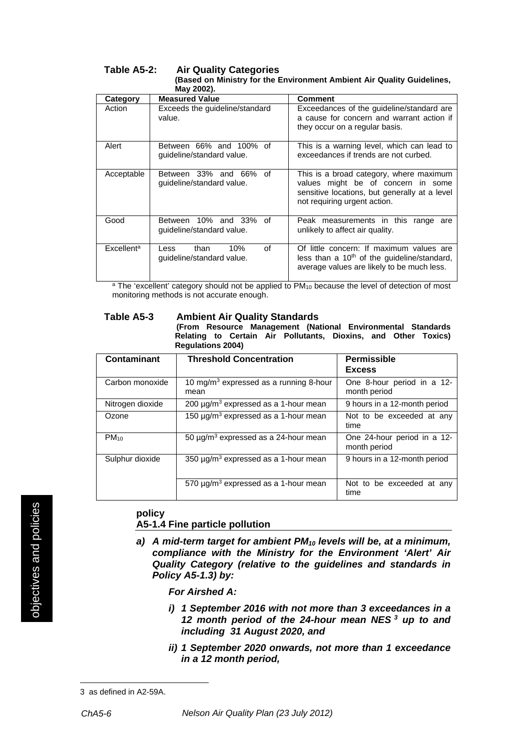#### **Table A5-2: Air Quality Categories (Based on Ministry for the Environment Ambient Air Quality Guidelines, May 2002).**

| Category               | <b>Measured Value</b>                                  | Comment                                                                                                                                                        |  |
|------------------------|--------------------------------------------------------|----------------------------------------------------------------------------------------------------------------------------------------------------------------|--|
|                        |                                                        |                                                                                                                                                                |  |
| Action                 | Exceeds the guideline/standard<br>value.               | Exceedances of the guideline/standard are<br>a cause for concern and warrant action if                                                                         |  |
|                        |                                                        | they occur on a regular basis.                                                                                                                                 |  |
| Alert                  | Between 66% and 100% of<br>guideline/standard value.   | This is a warning level, which can lead to<br>exceedances if trends are not curbed.                                                                            |  |
| Acceptable             | Between 33% and 66% of<br>guideline/standard value.    | This is a broad category, where maximum<br>values might be of concern in some<br>sensitive locations, but generally at a level<br>not requiring urgent action. |  |
| Good                   | Between 10% and 33% of<br>guideline/standard value.    | Peak measurements in this range are<br>unlikely to affect air quality.                                                                                         |  |
| Excellent <sup>a</sup> | Ωf<br>10%<br>than<br>Less<br>guideline/standard value. | Of little concern: If maximum values are<br>less than a 10 <sup>th</sup> of the guideline/standard,<br>average values are likely to be much less.              |  |

<sup>a</sup> The 'excellent' category should not be applied to PM<sub>10</sub> because the level of detection of most monitoring methods is not accurate enough.

#### **Table A5-3 Ambient Air Quality Standards**

 **(From Resource Management (National Environmental Standards Relating to Certain Air Pollutants, Dioxins, and Other Toxics) Regulations 2004)** 

| Contaminant      | <b>Threshold Concentration</b>                             | <b>Permissible</b><br><b>Excess</b>         |
|------------------|------------------------------------------------------------|---------------------------------------------|
| Carbon monoxide  | 10 mg/m <sup>3</sup> expressed as a running 8-hour<br>mean | One 8-hour period in a 12-<br>month period  |
| Nitrogen dioxide | 200 $\mu$ g/m <sup>3</sup> expressed as a 1-hour mean      | 9 hours in a 12-month period                |
| Ozone            | 150 $\mu$ g/m <sup>3</sup> expressed as a 1-hour mean      | Not to be exceeded at any<br>time           |
| $PM_{10}$        | 50 $\mu$ g/m <sup>3</sup> expressed as a 24-hour mean      | One 24-hour period in a 12-<br>month period |
| Sulphur dioxide  | 350 $\mu$ g/m <sup>3</sup> expressed as a 1-hour mean      | 9 hours in a 12-month period                |
|                  | 570 $\mu$ g/m <sup>3</sup> expressed as a 1-hour mean      | Not to be exceeded at any<br>time           |

# **policy**

#### **A5-1.4 Fine particle pollution**

a) A mid-term target for ambient PM<sub>10</sub> levels will be, at a minimum, *compliance with the Ministry for the Environment 'Alert' Air Quality Category (relative to the guidelines and standards in Policy A5-1.3) by:*

*For Airshed A:* 

- *i) 1 September 2016 with not more than 3 exceedances in a 12 month period of the 24-hour mean NES <sup>3</sup> up to and including 31 August 2020, and*
- *ii) 1 September 2020 onwards, not more than 1 exceedance in a 12 month period,*

<sup>3</sup> as defined in A2-59A.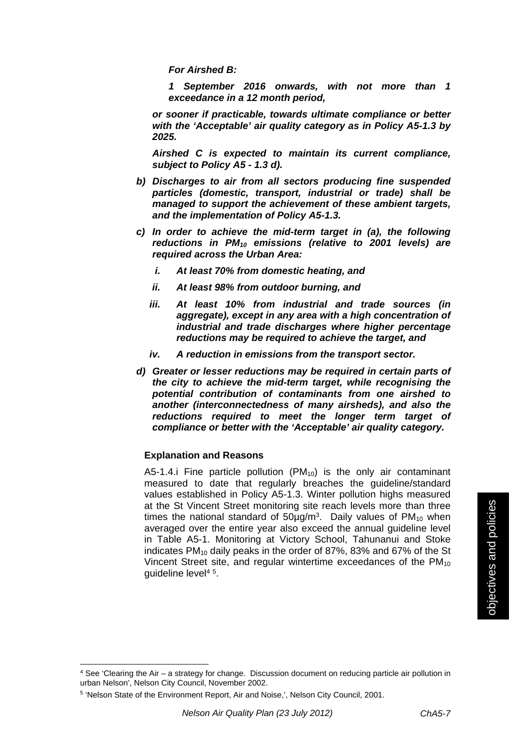*For Airshed B:* 

*1 September 2016 onwards, with not more than 1 exceedance in a 12 month period,* 

*or sooner if practicable, towards ultimate compliance or better with the 'Acceptable' air quality category as in Policy A5-1.3 by 2025.* 

*Airshed C is expected to maintain its current compliance, subject to Policy A5 - 1.3 d).* 

- *b) Discharges to air from all sectors producing fine suspended particles (domestic, transport, industrial or trade) shall be managed to support the achievement of these ambient targets, and the implementation of Policy A5-1.3.*
- *c) In order to achieve the mid-term target in (a), the following reductions in PM10 emissions (relative to 2001 levels) are required across the Urban Area:*
	- *i. At least 70% from domestic heating, and*
	- *ii. At least 98% from outdoor burning, and*
	- *iii. At least 10% from industrial and trade sources (in aggregate), except in any area with a high concentration of industrial and trade discharges where higher percentage reductions may be required to achieve the target, and*
	- *iv. A reduction in emissions from the transport sector.*
- *d) Greater or lesser reductions may be required in certain parts of the city to achieve the mid-term target, while recognising the potential contribution of contaminants from one airshed to another (interconnectedness of many airsheds), and also the reductions required to meet the longer term target of compliance or better with the 'Acceptable' air quality category.*

#### **Explanation and Reasons**

A5-1.4.i Fine particle pollution  $(PM_{10})$  is the only air contaminant measured to date that regularly breaches the guideline/standard values established in Policy A5-1.3. Winter pollution highs measured at the St Vincent Street monitoring site reach levels more than three times the national standard of  $50\mu$ g/m<sup>3</sup>. Daily values of PM<sub>10</sub> when averaged over the entire year also exceed the annual guideline level in Table A5-1. Monitoring at Victory School, Tahunanui and Stoke indicates PM<sub>10</sub> daily peaks in the order of 87%, 83% and 67% of the St Vincent Street site, and regular wintertime exceedances of the  $PM_{10}$ guideline level4 5.

 $4$  See 'Clearing the Air – a strategy for change. Discussion document on reducing particle air pollution in urban Nelson', Nelson City Council, November 2002.

<sup>5 &#</sup>x27;Nelson State of the Environment Report, Air and Noise,', Nelson City Council, 2001.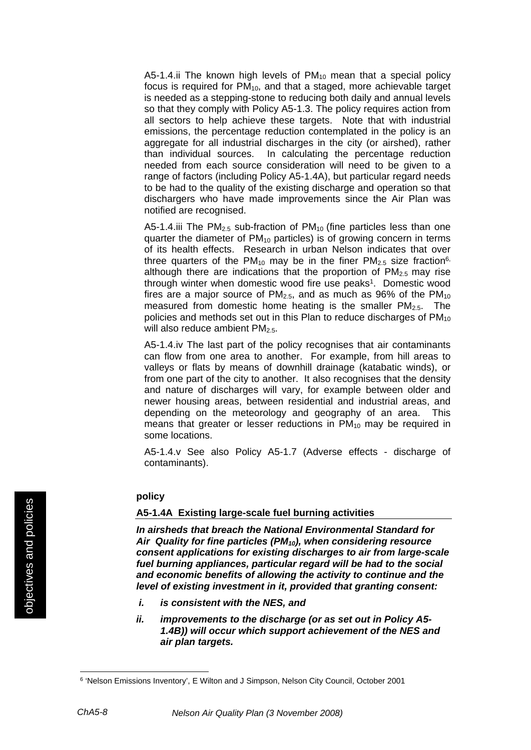A5-1.4.ii The known high levels of  $PM_{10}$  mean that a special policy focus is required for  $PM_{10}$ , and that a staged, more achievable target is needed as a stepping-stone to reducing both daily and annual levels so that they comply with Policy A5-1.3. The policy requires action from all sectors to help achieve these targets. Note that with industrial emissions, the percentage reduction contemplated in the policy is an aggregate for all industrial discharges in the city (or airshed), rather than individual sources. In calculating the percentage reduction needed from each source consideration will need to be given to a range of factors (including Policy A5-1.4A), but particular regard needs to be had to the quality of the existing discharge and operation so that dischargers who have made improvements since the Air Plan was notified are recognised.

A5-1.4.iii The  $PM<sub>2.5</sub>$  sub-fraction of  $PM<sub>10</sub>$  (fine particles less than one quarter the diameter of PM<sub>10</sub> particles) is of growing concern in terms of its health effects. Research in urban Nelson indicates that over three quarters of the  $PM_{10}$  may be in the finer  $PM_{2.5}$  size fraction<sup>6,</sup> although there are indications that the proportion of  $PM_{2.5}$  may rise through winter when domestic wood fire use peaks<sup>1</sup>. Domestic wood fires are a major source of  $PM_{2.5}$ , and as much as 96% of the  $PM_{10}$ measured from domestic home heating is the smaller  $PM<sub>2.5</sub>$ . The policies and methods set out in this Plan to reduce discharges of PM<sub>10</sub> will also reduce ambient PM<sub>2.5</sub>.

A5-1.4.iv The last part of the policy recognises that air contaminants can flow from one area to another. For example, from hill areas to valleys or flats by means of downhill drainage (katabatic winds), or from one part of the city to another. It also recognises that the density and nature of discharges will vary, for example between older and newer housing areas, between residential and industrial areas, and depending on the meteorology and geography of an area. This means that greater or lesser reductions in  $PM_{10}$  may be required in some locations.

A5-1.4.v See also Policy A5-1.7 (Adverse effects - discharge of contaminants).

#### **policy**

#### **A5-1.4A Existing large-scale fuel burning activities**

*In airsheds that breach the National Environmental Standard for Air Quality for fine particles (PM10), when considering resource consent applications for existing discharges to air from large-scale fuel burning appliances, particular regard will be had to the social and economic benefits of allowing the activity to continue and the level of existing investment in it, provided that granting consent:* 

- *i. is consistent with the NES, and*
- *ii. improvements to the discharge (or as set out in Policy A5- 1.4B)) will occur which support achievement of the NES and air plan targets.*

<sup>6 &#</sup>x27;Nelson Emissions Inventory', E Wilton and J Simpson, Nelson City Council, October 2001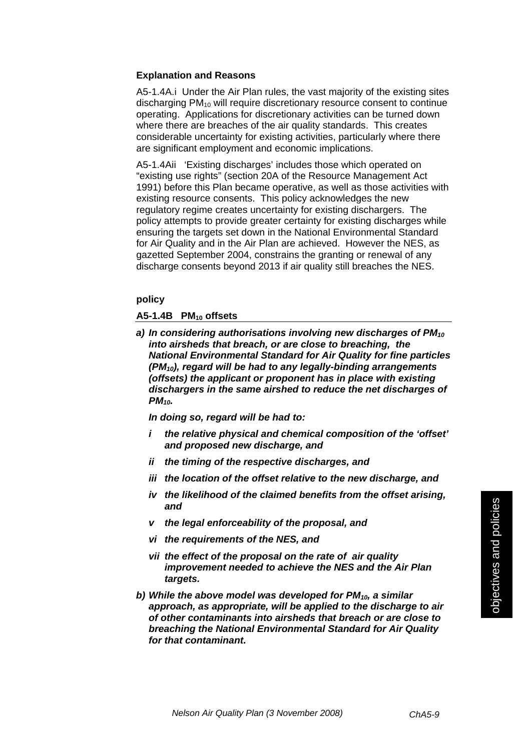#### **Explanation and Reasons**

A5-1.4A.i Under the Air Plan rules, the vast majority of the existing sites discharging PM10 will require discretionary resource consent to continue operating. Applications for discretionary activities can be turned down where there are breaches of the air quality standards. This creates considerable uncertainty for existing activities, particularly where there are significant employment and economic implications.

A5-1.4Aii 'Existing discharges' includes those which operated on "existing use rights" (section 20A of the Resource Management Act 1991) before this Plan became operative, as well as those activities with existing resource consents. This policy acknowledges the new regulatory regime creates uncertainty for existing dischargers. The policy attempts to provide greater certainty for existing discharges while ensuring the targets set down in the National Environmental Standard for Air Quality and in the Air Plan are achieved. However the NES, as gazetted September 2004, constrains the granting or renewal of any discharge consents beyond 2013 if air quality still breaches the NES.

#### **policy**

#### **A5-1.4B PM10 offsets**

*a) In considering authorisations involving new discharges of PM10 into airsheds that breach, or are close to breaching, the National Environmental Standard for Air Quality for fine particles (PM10), regard will be had to any legally-binding arrangements (offsets) the applicant or proponent has in place with existing dischargers in the same airshed to reduce the net discharges of PM10.*

*In doing so, regard will be had to:*

- *i the relative physical and chemical composition of the 'offset' and proposed new discharge, and*
- *ii the timing of the respective discharges, and*
- *iii the location of the offset relative to the new discharge, and*
- *iv the likelihood of the claimed benefits from the offset arising, and*
- *v the legal enforceability of the proposal, and*
- *vi the requirements of the NES, and*
- *vii the effect of the proposal on the rate of air quality improvement needed to achieve the NES and the Air Plan targets.*
- *b) While the above model was developed for PM10, a similar approach, as appropriate, will be applied to the discharge to air of other contaminants into airsheds that breach or are close to breaching the National Environmental Standard for Air Quality for that contaminant.*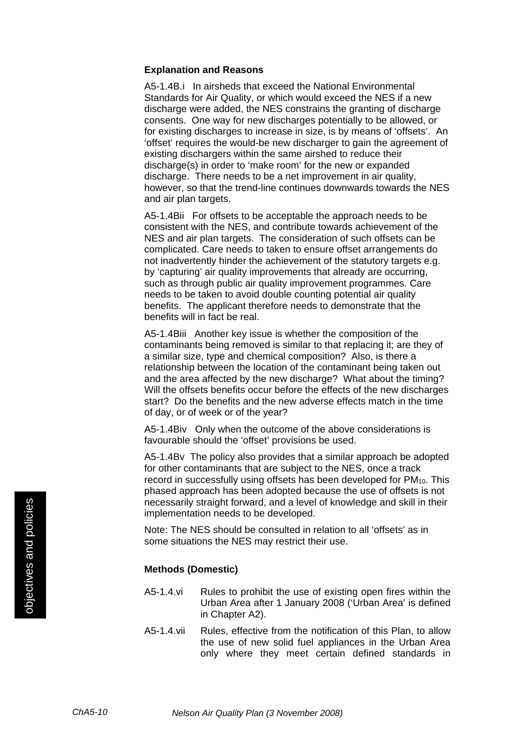#### **Explanation and Reasons**

A5-1.4B.i In airsheds that exceed the National Environmental Standards for Air Quality, or which would exceed the NES if a new discharge were added, the NES constrains the granting of discharge consents. One way for new discharges potentially to be allowed, or for existing discharges to increase in size, is by means of 'offsets'. An 'offset' requires the would-be new discharger to gain the agreement of existing dischargers within the same airshed to reduce their discharge(s) in order to 'make room' for the new or expanded discharge. There needs to be a net improvement in air quality, however, so that the trend-line continues downwards towards the NES and air plan targets.

A5-1.4Bii For offsets to be acceptable the approach needs to be consistent with the NES, and contribute towards achievement of the NES and air plan targets. The consideration of such offsets can be complicated. Care needs to taken to ensure offset arrangements do not inadvertently hinder the achievement of the statutory targets e.g. by 'capturing' air quality improvements that already are occurring, such as through public air quality improvement programmes. Care needs to be taken to avoid double counting potential air quality benefits. The applicant therefore needs to demonstrate that the benefits will in fact be real.

A5-1.4Biii Another key issue is whether the composition of the contaminants being removed is similar to that replacing it; are they of a similar size, type and chemical composition? Also, is there a relationship between the location of the contaminant being taken out and the area affected by the new discharge? What about the timing? Will the offsets benefits occur before the effects of the new discharges start? Do the benefits and the new adverse effects match in the time of day, or of week or of the year?

A5-1.4Biv Only when the outcome of the above considerations is favourable should the 'offset' provisions be used.

A5-1.4Bv The policy also provides that a similar approach be adopted for other contaminants that are subject to the NES, once a track record in successfully using offsets has been developed for  $PM_{10}$ . This phased approach has been adopted because the use of offsets is not necessarily straight forward, and a level of knowledge and skill in their implementation needs to be developed.

Note: The NES should be consulted in relation to all 'offsets' as in some situations the NES may restrict their use.

#### **Methods (Domestic)**

- A5-1.4.vi Rules to prohibit the use of existing open fires within the Urban Area after 1 January 2008 ('Urban Area' is defined in Chapter A2).
- A5-1.4.vii Rules, effective from the notification of this Plan, to allow the use of new solid fuel appliances in the Urban Area only where they meet certain defined standards in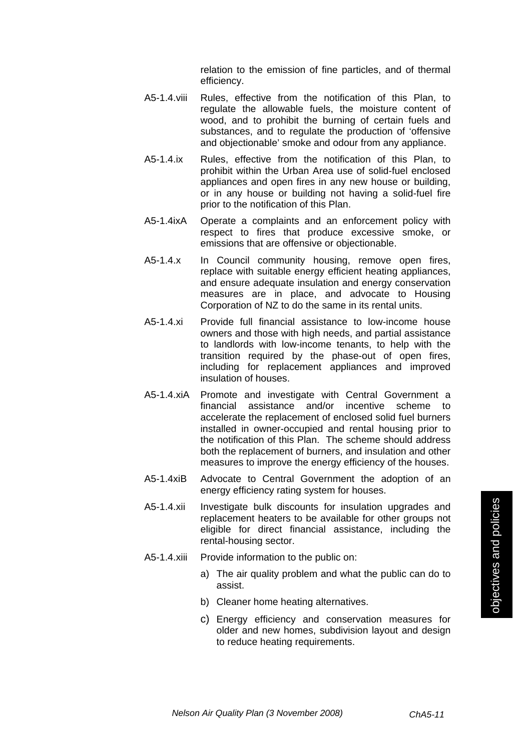relation to the emission of fine particles, and of thermal efficiency.

- A5-1.4.viii Rules, effective from the notification of this Plan, to regulate the allowable fuels, the moisture content of wood, and to prohibit the burning of certain fuels and substances, and to regulate the production of 'offensive and objectionable' smoke and odour from any appliance.
- A5-1.4.ix Rules, effective from the notification of this Plan, to prohibit within the Urban Area use of solid-fuel enclosed appliances and open fires in any new house or building, or in any house or building not having a solid-fuel fire prior to the notification of this Plan.
- A5-1.4ixA Operate a complaints and an enforcement policy with respect to fires that produce excessive smoke, or emissions that are offensive or objectionable.
- A5-1.4.x In Council community housing, remove open fires, replace with suitable energy efficient heating appliances, and ensure adequate insulation and energy conservation measures are in place, and advocate to Housing Corporation of NZ to do the same in its rental units.
- A5-1.4.xi Provide full financial assistance to low-income house owners and those with high needs, and partial assistance to landlords with low-income tenants, to help with the transition required by the phase-out of open fires, including for replacement appliances and improved insulation of houses.
- A5-1.4.xiA Promote and investigate with Central Government a financial assistance and/or incentive scheme to accelerate the replacement of enclosed solid fuel burners installed in owner-occupied and rental housing prior to the notification of this Plan. The scheme should address both the replacement of burners, and insulation and other measures to improve the energy efficiency of the houses.
- A5-1.4xiB Advocate to Central Government the adoption of an energy efficiency rating system for houses.
- A5-1.4.xii Investigate bulk discounts for insulation upgrades and replacement heaters to be available for other groups not eligible for direct financial assistance, including the rental-housing sector.
- A5-1.4.xiii Provide information to the public on:
	- a) The air quality problem and what the public can do to assist.
	- b) Cleaner home heating alternatives.
	- c) Energy efficiency and conservation measures for older and new homes, subdivision layout and design to reduce heating requirements.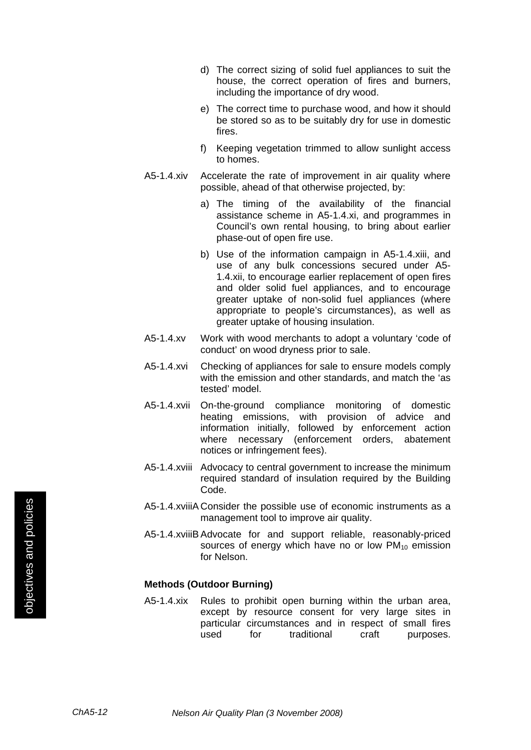- d) The correct sizing of solid fuel appliances to suit the house, the correct operation of fires and burners, including the importance of dry wood.
- e) The correct time to purchase wood, and how it should be stored so as to be suitably dry for use in domestic fires.
- f) Keeping vegetation trimmed to allow sunlight access to homes.
- A5-1.4.xiv Accelerate the rate of improvement in air quality where possible, ahead of that otherwise projected, by:
	- a) The timing of the availability of the financial assistance scheme in A5-1.4.xi, and programmes in Council's own rental housing, to bring about earlier phase-out of open fire use.
	- b) Use of the information campaign in A5-1.4.xiii, and use of any bulk concessions secured under A5- 1.4.xii, to encourage earlier replacement of open fires and older solid fuel appliances, and to encourage greater uptake of non-solid fuel appliances (where appropriate to people's circumstances), as well as greater uptake of housing insulation.
- A5-1.4.xv Work with wood merchants to adopt a voluntary 'code of conduct' on wood dryness prior to sale.
- A5-1.4.xvi Checking of appliances for sale to ensure models comply with the emission and other standards, and match the 'as tested' model.
- A5-1.4.xvii On-the-ground compliance monitoring of domestic heating emissions, with provision of advice and information initially, followed by enforcement action where necessary (enforcement orders, abatement notices or infringement fees).
- A5-1.4.xviii Advocacy to central government to increase the minimum required standard of insulation required by the Building Code.
- A5-1.4.xviiiA Consider the possible use of economic instruments as a management tool to improve air quality.
- A5-1.4.xviiiB Advocate for and support reliable, reasonably-priced sources of energy which have no or low  $PM_{10}$  emission for Nelson.

#### **Methods (Outdoor Burning)**

A5-1.4.xix Rules to prohibit open burning within the urban area, except by resource consent for very large sites in particular circumstances and in respect of small fires used for traditional craft purposes.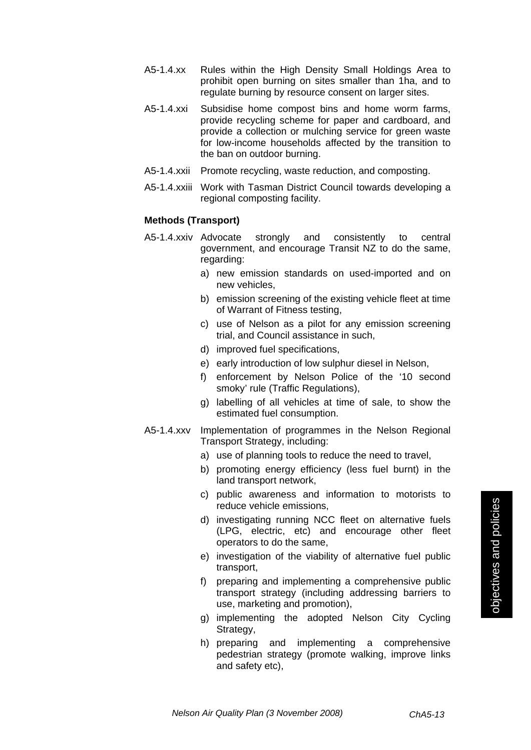- A5-1.4.xx Rules within the High Density Small Holdings Area to prohibit open burning on sites smaller than 1ha, and to regulate burning by resource consent on larger sites.
- A5-1.4.xxi Subsidise home compost bins and home worm farms, provide recycling scheme for paper and cardboard, and provide a collection or mulching service for green waste for low-income households affected by the transition to the ban on outdoor burning.
- A5-1.4.xxii Promote recycling, waste reduction, and composting.
- A5-1.4.xxiii Work with Tasman District Council towards developing a regional composting facility.

#### **Methods (Transport)**

- A5-1.4.xxiv Advocate strongly and consistently to central government, and encourage Transit NZ to do the same, regarding:
	- a) new emission standards on used-imported and on new vehicles,
	- b) emission screening of the existing vehicle fleet at time of Warrant of Fitness testing,
	- c) use of Nelson as a pilot for any emission screening trial, and Council assistance in such,
	- d) improved fuel specifications,
	- e) early introduction of low sulphur diesel in Nelson,
	- f) enforcement by Nelson Police of the '10 second smoky' rule (Traffic Regulations),
	- g) labelling of all vehicles at time of sale, to show the estimated fuel consumption.
- A5-1.4.xxv Implementation of programmes in the Nelson Regional Transport Strategy, including:
	- a) use of planning tools to reduce the need to travel,
	- b) promoting energy efficiency (less fuel burnt) in the land transport network,
	- c) public awareness and information to motorists to reduce vehicle emissions,
	- d) investigating running NCC fleet on alternative fuels (LPG, electric, etc) and encourage other fleet operators to do the same,
	- e) investigation of the viability of alternative fuel public transport,
	- f) preparing and implementing a comprehensive public transport strategy (including addressing barriers to use, marketing and promotion),
	- g) implementing the adopted Nelson City Cycling Strategy,
	- h) preparing and implementing a comprehensive pedestrian strategy (promote walking, improve links and safety etc),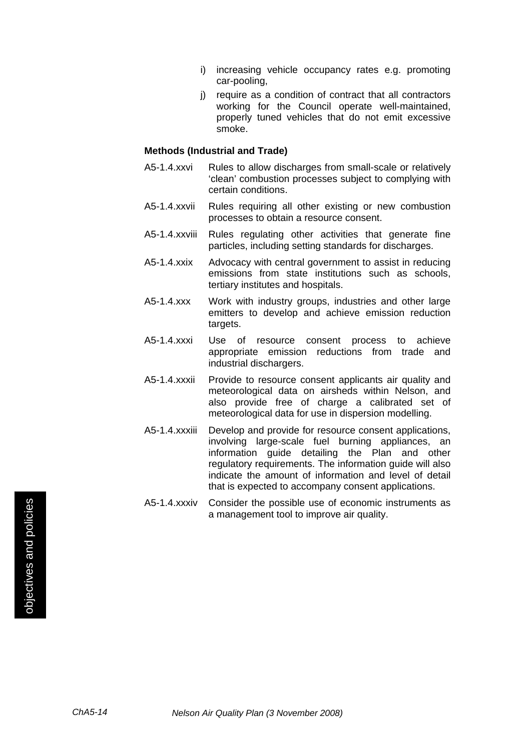- i) increasing vehicle occupancy rates e.g. promoting car-pooling,
- j) require as a condition of contract that all contractors working for the Council operate well-maintained, properly tuned vehicles that do not emit excessive smoke.

#### **Methods (Industrial and Trade)**

- A5-1.4.xxvi Rules to allow discharges from small-scale or relatively 'clean' combustion processes subject to complying with certain conditions.
- A5-1.4.xxvii Rules requiring all other existing or new combustion processes to obtain a resource consent.
- A5-1.4.xxviii Rules regulating other activities that generate fine particles, including setting standards for discharges.
- A5-1.4.xxix Advocacy with central government to assist in reducing emissions from state institutions such as schools, tertiary institutes and hospitals.
- A5-1.4.xxx Work with industry groups, industries and other large emitters to develop and achieve emission reduction targets.
- A5-1.4.xxxi Use of resource consent process to achieve appropriate emission reductions from trade and industrial dischargers.
- A5-1.4.xxxii Provide to resource consent applicants air quality and meteorological data on airsheds within Nelson, and also provide free of charge a calibrated set of meteorological data for use in dispersion modelling.
- A5-1.4.xxxiii Develop and provide for resource consent applications, involving large-scale fuel burning appliances, an information guide detailing the Plan and other regulatory requirements. The information guide will also indicate the amount of information and level of detail that is expected to accompany consent applications.
- A5-1.4.xxxiv Consider the possible use of economic instruments as a management tool to improve air quality.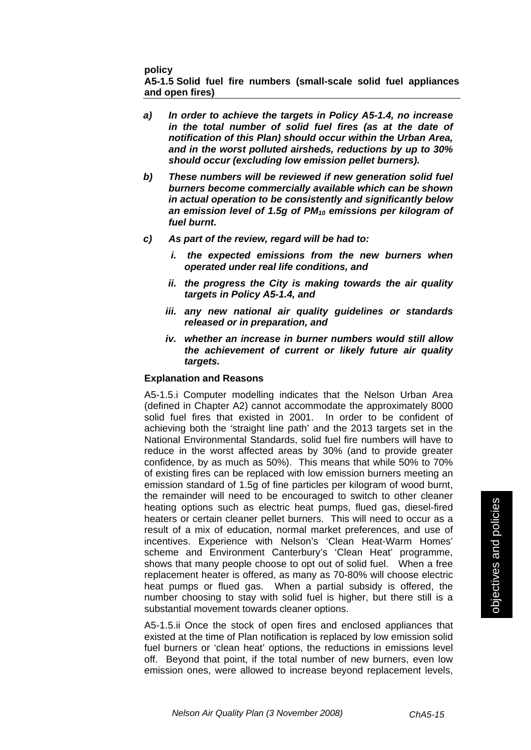**policy** 

**A5-1.5 Solid fuel fire numbers (small-scale solid fuel appliances and open fires)** 

- *a) In order to achieve the targets in Policy A5-1.4, no increase in the total number of solid fuel fires (as at the date of notification of this Plan) should occur within the Urban Area, and in the worst polluted airsheds, reductions by up to 30% should occur (excluding low emission pellet burners).*
- *b) These numbers will be reviewed if new generation solid fuel burners become commercially available which can be shown in actual operation to be consistently and significantly below an emission level of 1.5g of PM10 emissions per kilogram of fuel burnt.*
- *c) As part of the review, regard will be had to:*
	- *i. the expected emissions from the new burners when operated under real life conditions, and*
	- *ii. the progress the City is making towards the air quality targets in Policy A5-1.4, and*
	- *iii. any new national air quality guidelines or standards released or in preparation, and*
	- *iv. whether an increase in burner numbers would still allow the achievement of current or likely future air quality targets.*

#### **Explanation and Reasons**

A5-1.5.i Computer modelling indicates that the Nelson Urban Area (defined in Chapter A2) cannot accommodate the approximately 8000 solid fuel fires that existed in 2001. In order to be confident of achieving both the 'straight line path' and the 2013 targets set in the National Environmental Standards, solid fuel fire numbers will have to reduce in the worst affected areas by 30% (and to provide greater confidence, by as much as 50%). This means that while 50% to 70% of existing fires can be replaced with low emission burners meeting an emission standard of 1.5g of fine particles per kilogram of wood burnt, the remainder will need to be encouraged to switch to other cleaner heating options such as electric heat pumps, flued gas, diesel-fired heaters or certain cleaner pellet burners. This will need to occur as a result of a mix of education, normal market preferences, and use of incentives. Experience with Nelson's 'Clean Heat-Warm Homes' scheme and Environment Canterbury's 'Clean Heat' programme, shows that many people choose to opt out of solid fuel. When a free replacement heater is offered, as many as 70-80% will choose electric heat pumps or flued gas. When a partial subsidy is offered, the number choosing to stay with solid fuel is higher, but there still is a substantial movement towards cleaner options.

A5-1.5.ii Once the stock of open fires and enclosed appliances that existed at the time of Plan notification is replaced by low emission solid fuel burners or 'clean heat' options, the reductions in emissions level off. Beyond that point, if the total number of new burners, even low emission ones, were allowed to increase beyond replacement levels,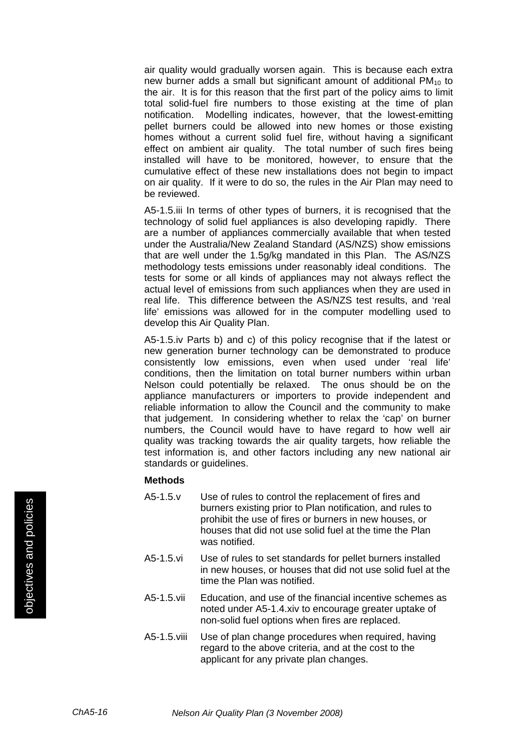air quality would gradually worsen again. This is because each extra new burner adds a small but significant amount of additional  $PM<sub>10</sub>$  to the air. It is for this reason that the first part of the policy aims to limit total solid-fuel fire numbers to those existing at the time of plan notification. Modelling indicates, however, that the lowest-emitting pellet burners could be allowed into new homes or those existing homes without a current solid fuel fire, without having a significant effect on ambient air quality. The total number of such fires being installed will have to be monitored, however, to ensure that the cumulative effect of these new installations does not begin to impact on air quality. If it were to do so, the rules in the Air Plan may need to be reviewed.

A5-1.5.iii In terms of other types of burners, it is recognised that the technology of solid fuel appliances is also developing rapidly. There are a number of appliances commercially available that when tested under the Australia/New Zealand Standard (AS/NZS) show emissions that are well under the 1.5g/kg mandated in this Plan. The AS/NZS methodology tests emissions under reasonably ideal conditions. The tests for some or all kinds of appliances may not always reflect the actual level of emissions from such appliances when they are used in real life. This difference between the AS/NZS test results, and 'real life' emissions was allowed for in the computer modelling used to develop this Air Quality Plan.

A5-1.5.iv Parts b) and c) of this policy recognise that if the latest or new generation burner technology can be demonstrated to produce consistently low emissions, even when used under 'real life' conditions, then the limitation on total burner numbers within urban Nelson could potentially be relaxed. The onus should be on the appliance manufacturers or importers to provide independent and reliable information to allow the Council and the community to make that judgement. In considering whether to relax the 'cap' on burner numbers, the Council would have to have regard to how well air quality was tracking towards the air quality targets, how reliable the test information is, and other factors including any new national air standards or guidelines.

- A5-1.5.v Use of rules to control the replacement of fires and burners existing prior to Plan notification, and rules to prohibit the use of fires or burners in new houses, or houses that did not use solid fuel at the time the Plan was notified.
- A5-1.5.vi Use of rules to set standards for pellet burners installed in new houses, or houses that did not use solid fuel at the time the Plan was notified.
- A5-1.5.vii Education, and use of the financial incentive schemes as noted under A5-1.4.xiv to encourage greater uptake of non-solid fuel options when fires are replaced.
- A5-1.5.viii Use of plan change procedures when required, having regard to the above criteria, and at the cost to the applicant for any private plan changes.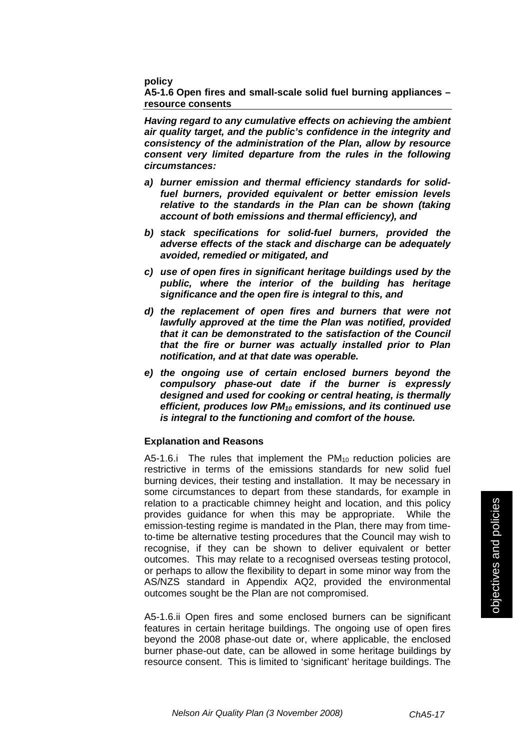**policy** 

**A5-1.6 Open fires and small-scale solid fuel burning appliances – resource consents** 

*Having regard to any cumulative effects on achieving the ambient air quality target, and the public's confidence in the integrity and consistency of the administration of the Plan, allow by resource consent very limited departure from the rules in the following circumstances:* 

- *a) burner emission and thermal efficiency standards for solidfuel burners, provided equivalent or better emission levels relative to the standards in the Plan can be shown (taking account of both emissions and thermal efficiency), and*
- *b) stack specifications for solid-fuel burners, provided the adverse effects of the stack and discharge can be adequately avoided, remedied or mitigated, and*
- *c) use of open fires in significant heritage buildings used by the public, where the interior of the building has heritage significance and the open fire is integral to this, and*
- *d) the replacement of open fires and burners that were not lawfully approved at the time the Plan was notified, provided that it can be demonstrated to the satisfaction of the Council that the fire or burner was actually installed prior to Plan notification, and at that date was operable.*
- *e) the ongoing use of certain enclosed burners beyond the compulsory phase-out date if the burner is expressly designed and used for cooking or central heating, is thermally efficient, produces low PM10 emissions, and its continued use is integral to the functioning and comfort of the house.*

#### **Explanation and Reasons**

A5-1.6.i The rules that implement the  $PM_{10}$  reduction policies are restrictive in terms of the emissions standards for new solid fuel burning devices, their testing and installation. It may be necessary in some circumstances to depart from these standards, for example in relation to a practicable chimney height and location, and this policy provides guidance for when this may be appropriate. While the emission-testing regime is mandated in the Plan, there may from timeto-time be alternative testing procedures that the Council may wish to recognise, if they can be shown to deliver equivalent or better outcomes. This may relate to a recognised overseas testing protocol, or perhaps to allow the flexibility to depart in some minor way from the AS/NZS standard in Appendix AQ2, provided the environmental outcomes sought be the Plan are not compromised.

A5-1.6.ii Open fires and some enclosed burners can be significant features in certain heritage buildings. The ongoing use of open fires beyond the 2008 phase-out date or, where applicable, the enclosed burner phase-out date, can be allowed in some heritage buildings by resource consent. This is limited to 'significant' heritage buildings. The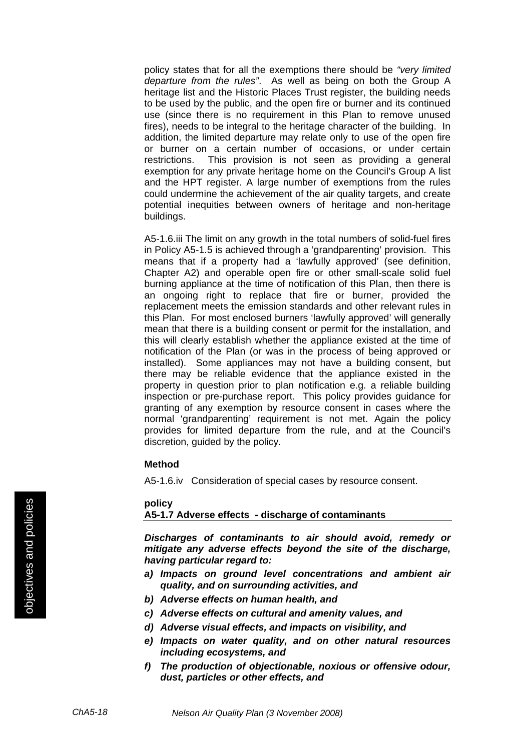policy states that for all the exemptions there should be *"very limited departure from the rules"*. As well as being on both the Group A heritage list and the Historic Places Trust register, the building needs to be used by the public, and the open fire or burner and its continued use (since there is no requirement in this Plan to remove unused fires), needs to be integral to the heritage character of the building. In addition, the limited departure may relate only to use of the open fire or burner on a certain number of occasions, or under certain restrictions. This provision is not seen as providing a general exemption for any private heritage home on the Council's Group A list and the HPT register. A large number of exemptions from the rules could undermine the achievement of the air quality targets, and create potential inequities between owners of heritage and non-heritage buildings.

A5-1.6.iii The limit on any growth in the total numbers of solid-fuel fires in Policy A5-1.5 is achieved through a 'grandparenting' provision. This means that if a property had a 'lawfully approved' (see definition, Chapter A2) and operable open fire or other small-scale solid fuel burning appliance at the time of notification of this Plan, then there is an ongoing right to replace that fire or burner, provided the replacement meets the emission standards and other relevant rules in this Plan. For most enclosed burners 'lawfully approved' will generally mean that there is a building consent or permit for the installation, and this will clearly establish whether the appliance existed at the time of notification of the Plan (or was in the process of being approved or installed). Some appliances may not have a building consent, but there may be reliable evidence that the appliance existed in the property in question prior to plan notification e.g. a reliable building inspection or pre-purchase report. This policy provides guidance for granting of any exemption by resource consent in cases where the normal 'grandparenting' requirement is not met. Again the policy provides for limited departure from the rule, and at the Council's discretion, guided by the policy.

#### **Method**

A5-1.6.iv Consideration of special cases by resource consent.

#### **policy**

#### **A5-1.7 Adverse effects - discharge of contaminants**

*Discharges of contaminants to air should avoid, remedy or mitigate any adverse effects beyond the site of the discharge, having particular regard to:* 

- *a) Impacts on ground level concentrations and ambient air quality, and on surrounding activities, and*
- *b) Adverse effects on human health, and*
- *c) Adverse effects on cultural and amenity values, and*
- *d) Adverse visual effects, and impacts on visibility, and*
- *e) Impacts on water quality, and on other natural resources including ecosystems, and*
- *f) The production of objectionable, noxious or offensive odour, dust, particles or other effects, and*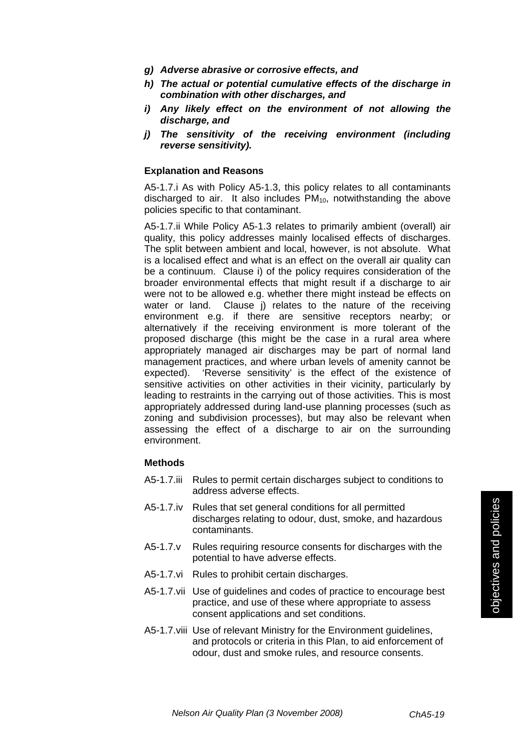- *g) Adverse abrasive or corrosive effects, and*
- *h) The actual or potential cumulative effects of the discharge in combination with other discharges, and*
- *i) Any likely effect on the environment of not allowing the discharge, and*
- *j) The sensitivity of the receiving environment (including reverse sensitivity).*

#### **Explanation and Reasons**

A5-1.7.i As with Policy A5-1.3, this policy relates to all contaminants discharged to air. It also includes  $PM<sub>10</sub>$ , notwithstanding the above policies specific to that contaminant.

A5-1.7.ii While Policy A5-1.3 relates to primarily ambient (overall) air quality, this policy addresses mainly localised effects of discharges. The split between ambient and local, however, is not absolute. What is a localised effect and what is an effect on the overall air quality can be a continuum. Clause i) of the policy requires consideration of the broader environmental effects that might result if a discharge to air were not to be allowed e.g. whether there might instead be effects on water or land. Clause j) relates to the nature of the receiving environment e.g. if there are sensitive receptors nearby; or alternatively if the receiving environment is more tolerant of the proposed discharge (this might be the case in a rural area where appropriately managed air discharges may be part of normal land management practices, and where urban levels of amenity cannot be expected). 'Reverse sensitivity' is the effect of the existence of sensitive activities on other activities in their vicinity, particularly by leading to restraints in the carrying out of those activities. This is most appropriately addressed during land-use planning processes (such as zoning and subdivision processes), but may also be relevant when assessing the effect of a discharge to air on the surrounding environment.

- A5-1.7.iii Rules to permit certain discharges subject to conditions to address adverse effects.
- A5-1.7.iv Rules that set general conditions for all permitted discharges relating to odour, dust, smoke, and hazardous contaminants.
- A5-1.7.v Rules requiring resource consents for discharges with the potential to have adverse effects.
- A5-1.7.vi Rules to prohibit certain discharges.
- A5-1.7.vii Use of guidelines and codes of practice to encourage best practice, and use of these where appropriate to assess consent applications and set conditions.
- A5-1.7.viii Use of relevant Ministry for the Environment guidelines, and protocols or criteria in this Plan, to aid enforcement of odour, dust and smoke rules, and resource consents.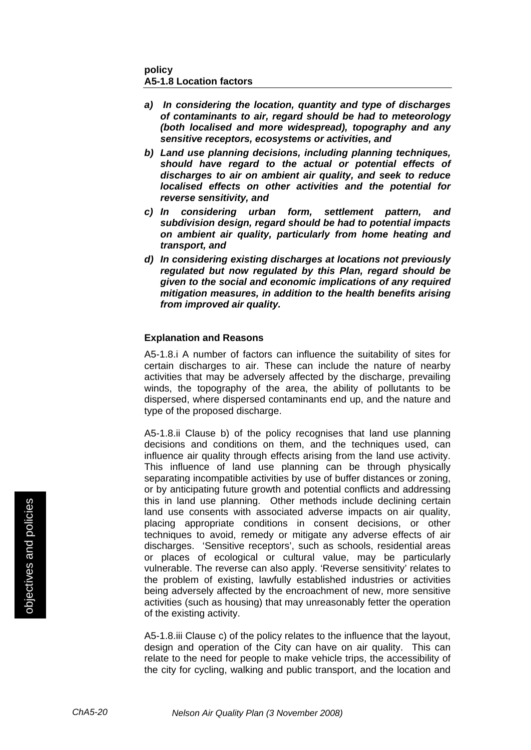#### **policy A5-1.8 Location factors**

- *a) In considering the location, quantity and type of discharges of contaminants to air, regard should be had to meteorology (both localised and more widespread), topography and any sensitive receptors, ecosystems or activities, and*
- *b) Land use planning decisions, including planning techniques, should have regard to the actual or potential effects of discharges to air on ambient air quality, and seek to reduce localised effects on other activities and the potential for reverse sensitivity, and*
- *c) In considering urban form, settlement pattern, and subdivision design, regard should be had to potential impacts on ambient air quality, particularly from home heating and transport, and*
- *d) In considering existing discharges at locations not previously regulated but now regulated by this Plan, regard should be given to the social and economic implications of any required mitigation measures, in addition to the health benefits arising from improved air quality.*

#### **Explanation and Reasons**

A5-1.8.i A number of factors can influence the suitability of sites for certain discharges to air. These can include the nature of nearby activities that may be adversely affected by the discharge, prevailing winds, the topography of the area, the ability of pollutants to be dispersed, where dispersed contaminants end up, and the nature and type of the proposed discharge.

A5-1.8.ii Clause b) of the policy recognises that land use planning decisions and conditions on them, and the techniques used, can influence air quality through effects arising from the land use activity. This influence of land use planning can be through physically separating incompatible activities by use of buffer distances or zoning, or by anticipating future growth and potential conflicts and addressing this in land use planning. Other methods include declining certain land use consents with associated adverse impacts on air quality, placing appropriate conditions in consent decisions, or other techniques to avoid, remedy or mitigate any adverse effects of air discharges. 'Sensitive receptors', such as schools, residential areas or places of ecological or cultural value, may be particularly vulnerable. The reverse can also apply. 'Reverse sensitivity' relates to the problem of existing, lawfully established industries or activities being adversely affected by the encroachment of new, more sensitive activities (such as housing) that may unreasonably fetter the operation of the existing activity.

A5-1.8.iii Clause c) of the policy relates to the influence that the layout, design and operation of the City can have on air quality. This can relate to the need for people to make vehicle trips, the accessibility of the city for cycling, walking and public transport, and the location and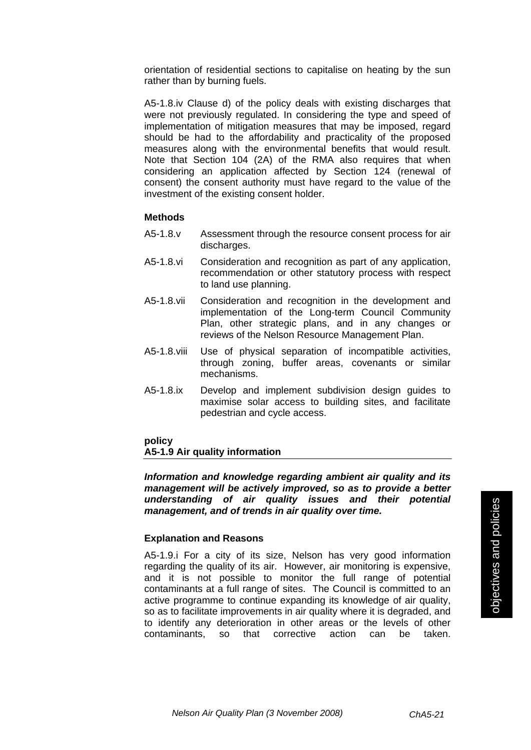orientation of residential sections to capitalise on heating by the sun rather than by burning fuels.

A5-1.8.iv Clause d) of the policy deals with existing discharges that were not previously regulated. In considering the type and speed of implementation of mitigation measures that may be imposed, regard should be had to the affordability and practicality of the proposed measures along with the environmental benefits that would result. Note that Section 104 (2A) of the RMA also requires that when considering an application affected by Section 124 (renewal of consent) the consent authority must have regard to the value of the investment of the existing consent holder.

#### **Methods**

- A5-1.8.v Assessment through the resource consent process for air discharges.
- A5-1.8.vi Consideration and recognition as part of any application, recommendation or other statutory process with respect to land use planning.
- A5-1.8.vii Consideration and recognition in the development and implementation of the Long-term Council Community Plan, other strategic plans, and in any changes or reviews of the Nelson Resource Management Plan.
- A5-1.8.viii Use of physical separation of incompatible activities, through zoning, buffer areas, covenants or similar mechanisms.
- A5-1.8.ix Develop and implement subdivision design guides to maximise solar access to building sites, and facilitate pedestrian and cycle access.

#### **policy**

#### **A5-1.9 Air quality information**

*Information and knowledge regarding ambient air quality and its management will be actively improved, so as to provide a better understanding of air quality issues and their potential management, and of trends in air quality over time.* 

#### **Explanation and Reasons**

A5-1.9.i For a city of its size, Nelson has very good information regarding the quality of its air. However, air monitoring is expensive, and it is not possible to monitor the full range of potential contaminants at a full range of sites. The Council is committed to an active programme to continue expanding its knowledge of air quality, so as to facilitate improvements in air quality where it is degraded, and to identify any deterioration in other areas or the levels of other contaminants, so that corrective action can be taken.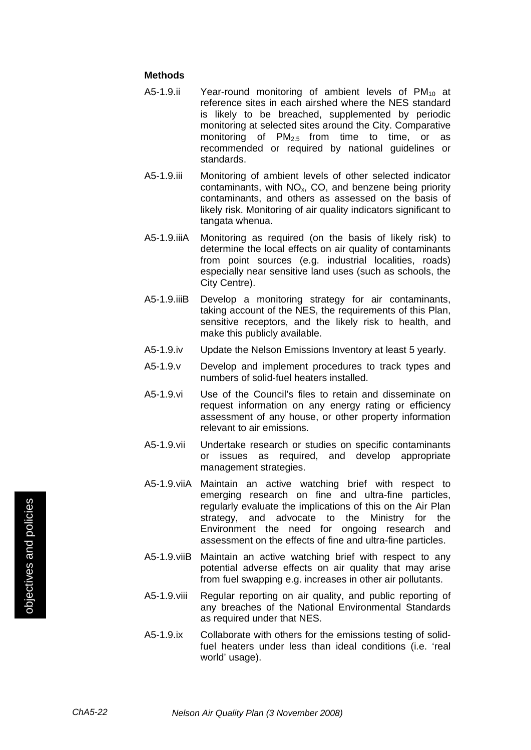- A5-1.9.ii Year-round monitoring of ambient levels of  $PM_{10}$  at reference sites in each airshed where the NES standard is likely to be breached, supplemented by periodic monitoring at selected sites around the City. Comparative monitoring of  $PM_{2.5}$  from time to time, or as recommended or required by national guidelines or standards.
- A5-1.9.iii Monitoring of ambient levels of other selected indicator contaminants, with  $NO<sub>x</sub>$ , CO, and benzene being priority contaminants, and others as assessed on the basis of likely risk. Monitoring of air quality indicators significant to tangata whenua.
- A5-1.9.iiiA Monitoring as required (on the basis of likely risk) to determine the local effects on air quality of contaminants from point sources (e.g. industrial localities, roads) especially near sensitive land uses (such as schools, the City Centre).
- A5-1.9.iiiB Develop a monitoring strategy for air contaminants, taking account of the NES, the requirements of this Plan, sensitive receptors, and the likely risk to health, and make this publicly available.
- A5-1.9.iv Update the Nelson Emissions Inventory at least 5 yearly.
- A5-1.9.v Develop and implement procedures to track types and numbers of solid-fuel heaters installed.
- A5-1.9.vi Use of the Council's files to retain and disseminate on request information on any energy rating or efficiency assessment of any house, or other property information relevant to air emissions.
- A5-1.9.vii Undertake research or studies on specific contaminants or issues as required, and develop appropriate management strategies.
- A5-1.9.viiA Maintain an active watching brief with respect to emerging research on fine and ultra-fine particles, regularly evaluate the implications of this on the Air Plan strategy, and advocate to the Ministry for the Environment the need for ongoing research and assessment on the effects of fine and ultra-fine particles.
- A5-1.9.viiB Maintain an active watching brief with respect to any potential adverse effects on air quality that may arise from fuel swapping e.g. increases in other air pollutants.
- A5-1.9.viii Regular reporting on air quality, and public reporting of any breaches of the National Environmental Standards as required under that NES.
- A5-1.9.ix Collaborate with others for the emissions testing of solidfuel heaters under less than ideal conditions (i.e. 'real world' usage).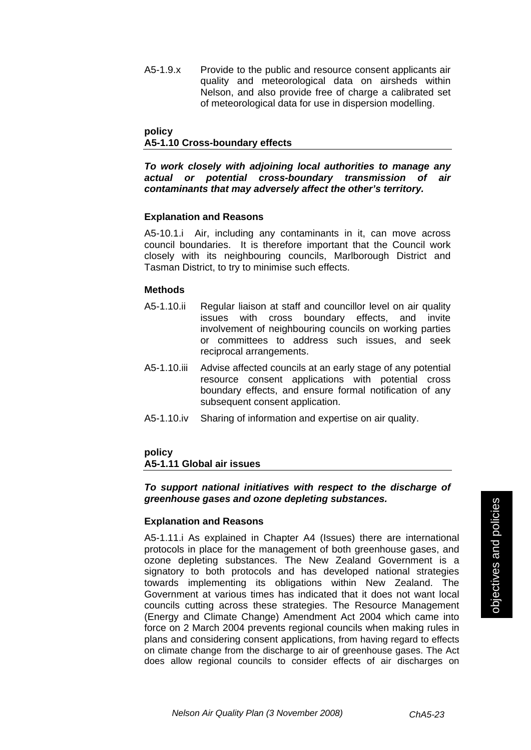A5-1.9.x Provide to the public and resource consent applicants air quality and meteorological data on airsheds within Nelson, and also provide free of charge a calibrated set of meteorological data for use in dispersion modelling.

#### **policy A5-1.10 Cross-boundary effects**

*To work closely with adjoining local authorities to manage any actual or potential cross-boundary transmission of air contaminants that may adversely affect the other's territory.*

#### **Explanation and Reasons**

A5-10.1.i Air, including any contaminants in it, can move across council boundaries. It is therefore important that the Council work closely with its neighbouring councils, Marlborough District and Tasman District, to try to minimise such effects.

#### **Methods**

- A5-1.10.ii Regular liaison at staff and councillor level on air quality issues with cross boundary effects, and invite involvement of neighbouring councils on working parties or committees to address such issues, and seek reciprocal arrangements.
- A5-1.10.iii Advise affected councils at an early stage of any potential resource consent applications with potential cross boundary effects, and ensure formal notification of any subsequent consent application.
- A5-1.10.iv Sharing of information and expertise on air quality.

#### **policy A5-1.11 Global air issues**

#### *To support national initiatives with respect to the discharge of greenhouse gases and ozone depleting substances.*

#### **Explanation and Reasons**

A5-1.11.i As explained in Chapter A4 (Issues) there are international protocols in place for the management of both greenhouse gases, and ozone depleting substances. The New Zealand Government is a signatory to both protocols and has developed national strategies towards implementing its obligations within New Zealand. The Government at various times has indicated that it does not want local councils cutting across these strategies. The Resource Management (Energy and Climate Change) Amendment Act 2004 which came into force on 2 March 2004 prevents regional councils when making rules in plans and considering consent applications, from having regard to effects on climate change from the discharge to air of greenhouse gases. The Act does allow regional councils to consider effects of air discharges on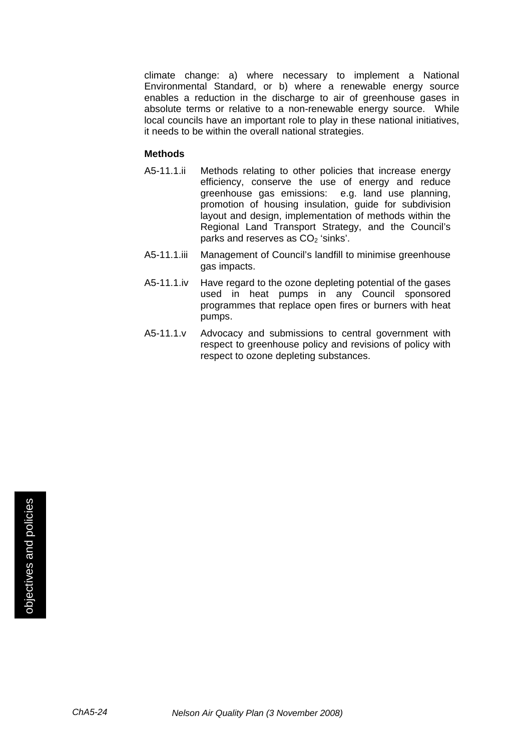climate change: a) where necessary to implement a National Environmental Standard, or b) where a renewable energy source enables a reduction in the discharge to air of greenhouse gases in absolute terms or relative to a non-renewable energy source. While local councils have an important role to play in these national initiatives, it needs to be within the overall national strategies.

- A5-11.1.ii Methods relating to other policies that increase energy efficiency, conserve the use of energy and reduce greenhouse gas emissions: e.g. land use planning, promotion of housing insulation, guide for subdivision layout and design, implementation of methods within the Regional Land Transport Strategy, and the Council's parks and reserves as CO<sub>2</sub> 'sinks'.
- A5-11.1.iii Management of Council's landfill to minimise greenhouse gas impacts.
- A5-11.1.iv Have regard to the ozone depleting potential of the gases used in heat pumps in any Council sponsored programmes that replace open fires or burners with heat pumps.
- A5-11.1.v Advocacy and submissions to central government with respect to greenhouse policy and revisions of policy with respect to ozone depleting substances.